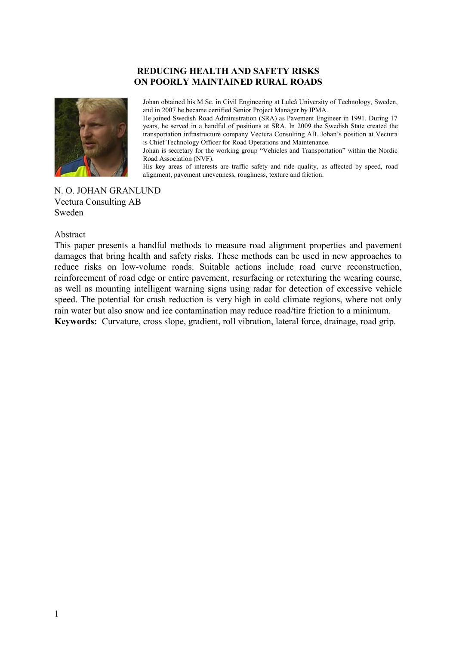### **REDUCING HEALTH AND SAFETY RISKS ON POORLY MAINTAINED RURAL ROADS**



Johan obtained his M.Sc. in Civil Engineering at Luleå University of Technology, Sweden, and in 2007 he became certified Senior Project Manager by IPMA.

He joined Swedish Road Administration (SRA) as Pavement Engineer in 1991. During 17 years, he served in a handful of positions at SRA. In 2009 the Swedish State created the transportation infrastructure company Vectura Consulting AB. Johan's position at Vectura is Chief Technology Officer for Road Operations and Maintenance.

Johan is secretary for the working group "Vehicles and Transportation" within the Nordic Road Association (NVF).

His key areas of interests are traffic safety and ride quality, as affected by speed, road alignment, pavement unevenness, roughness, texture and friction.

N. O. JOHAN GRANLUND Vectura Consulting AB Sweden

#### Abstract

This paper presents a handful methods to measure road alignment properties and pavement damages that bring health and safety risks. These methods can be used in new approaches to reduce risks on low-volume roads. Suitable actions include road curve reconstruction, reinforcement of road edge or entire pavement, resurfacing or retexturing the wearing course, as well as mounting intelligent warning signs using radar for detection of excessive vehicle speed. The potential for crash reduction is very high in cold climate regions, where not only rain water but also snow and ice contamination may reduce road/tire friction to a minimum. **Keywords:** Curvature, cross slope, gradient, roll vibration, lateral force, drainage, road grip.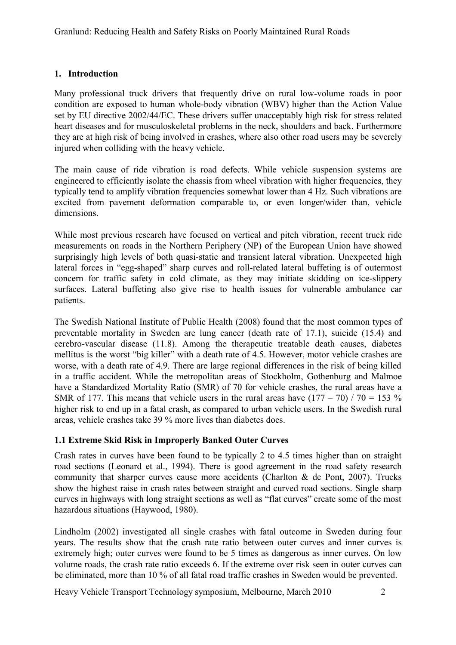## **1. Introduction**

Many professional truck drivers that frequently drive on rural low-volume roads in poor condition are exposed to human whole-body vibration (WBV) higher than the Action Value set by EU directive 2002/44/EC. These drivers suffer unacceptably high risk for stress related heart diseases and for musculoskeletal problems in the neck, shoulders and back. Furthermore they are at high risk of being involved in crashes, where also other road users may be severely injured when colliding with the heavy vehicle.

The main cause of ride vibration is road defects. While vehicle suspension systems are engineered to efficiently isolate the chassis from wheel vibration with higher frequencies, they typically tend to amplify vibration frequencies somewhat lower than 4 Hz. Such vibrations are excited from pavement deformation comparable to, or even longer/wider than, vehicle dimensions.

While most previous research have focused on vertical and pitch vibration, recent truck ride measurements on roads in the Northern Periphery (NP) of the European Union have showed surprisingly high levels of both quasi-static and transient lateral vibration. Unexpected high lateral forces in "egg-shaped" sharp curves and roll-related lateral buffeting is of outermost concern for traffic safety in cold climate, as they may initiate skidding on ice-slippery surfaces. Lateral buffeting also give rise to health issues for vulnerable ambulance car patients.

The Swedish National Institute of Public Health (2008) found that the most common types of preventable mortality in Sweden are lung cancer (death rate of 17.1), suicide (15.4) and cerebro-vascular disease (11.8). Among the therapeutic treatable death causes, diabetes mellitus is the worst "big killer" with a death rate of 4.5. However, motor vehicle crashes are worse, with a death rate of 4.9. There are large regional differences in the risk of being killed in a traffic accident. While the metropolitan areas of Stockholm, Gothenburg and Malmoe have a Standardized Mortality Ratio (SMR) of 70 for vehicle crashes, the rural areas have a SMR of 177. This means that vehicle users in the rural areas have  $(177 - 70) / 70 = 153 \%$ higher risk to end up in a fatal crash, as compared to urban vehicle users. In the Swedish rural areas, vehicle crashes take 39 % more lives than diabetes does.

## **1.1 Extreme Skid Risk in Improperly Banked Outer Curves**

Crash rates in curves have been found to be typically 2 to 4.5 times higher than on straight road sections (Leonard et al., 1994). There is good agreement in the road safety research community that sharper curves cause more accidents (Charlton & de Pont, 2007). Trucks show the highest raise in crash rates between straight and curved road sections. Single sharp curves in highways with long straight sections as well as "flat curves" create some of the most hazardous situations (Haywood, 1980).

Lindholm (2002) investigated all single crashes with fatal outcome in Sweden during four years. The results show that the crash rate ratio between outer curves and inner curves is extremely high; outer curves were found to be 5 times as dangerous as inner curves. On low volume roads, the crash rate ratio exceeds 6. If the extreme over risk seen in outer curves can be eliminated, more than 10 % of all fatal road traffic crashes in Sweden would be prevented.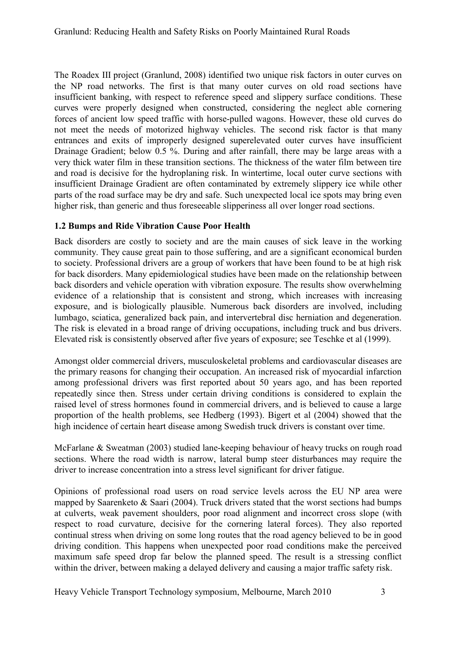The Roadex III project (Granlund, 2008) identified two unique risk factors in outer curves on the NP road networks. The first is that many outer curves on old road sections have insufficient banking, with respect to reference speed and slippery surface conditions. These curves were properly designed when constructed, considering the neglect able cornering forces of ancient low speed traffic with horse-pulled wagons. However, these old curves do not meet the needs of motorized highway vehicles. The second risk factor is that many entrances and exits of improperly designed superelevated outer curves have insufficient Drainage Gradient; below 0.5 %. During and after rainfall, there may be large areas with a very thick water film in these transition sections. The thickness of the water film between tire and road is decisive for the hydroplaning risk. In wintertime, local outer curve sections with insufficient Drainage Gradient are often contaminated by extremely slippery ice while other parts of the road surface may be dry and safe. Such unexpected local ice spots may bring even higher risk, than generic and thus foreseeable slipperiness all over longer road sections.

## **1.2 Bumps and Ride Vibration Cause Poor Health**

Back disorders are costly to society and are the main causes of sick leave in the working community. They cause great pain to those suffering, and are a significant economical burden to society. Professional drivers are a group of workers that have been found to be at high risk for back disorders. Many epidemiological studies have been made on the relationship between back disorders and vehicle operation with vibration exposure. The results show overwhelming evidence of a relationship that is consistent and strong, which increases with increasing exposure, and is biologically plausible. Numerous back disorders are involved, including lumbago, sciatica, generalized back pain, and intervertebral disc herniation and degeneration. The risk is elevated in a broad range of driving occupations, including truck and bus drivers. Elevated risk is consistently observed after five years of exposure; see Teschke et al (1999).

Amongst older commercial drivers, musculoskeletal problems and cardiovascular diseases are the primary reasons for changing their occupation. An increased risk of myocardial infarction among professional drivers was first reported about 50 years ago, and has been reported repeatedly since then. Stress under certain driving conditions is considered to explain the raised level of stress hormones found in commercial drivers, and is believed to cause a large proportion of the health problems, see Hedberg (1993). Bigert et al (2004) showed that the high incidence of certain heart disease among Swedish truck drivers is constant over time.

McFarlane & Sweatman (2003) studied lane-keeping behaviour of heavy trucks on rough road sections. Where the road width is narrow, lateral bump steer disturbances may require the driver to increase concentration into a stress level significant for driver fatigue.

Opinions of professional road users on road service levels across the EU NP area were mapped by Saarenketo & Saari (2004). Truck drivers stated that the worst sections had bumps at culverts, weak pavement shoulders, poor road alignment and incorrect cross slope (with respect to road curvature, decisive for the cornering lateral forces). They also reported continual stress when driving on some long routes that the road agency believed to be in good driving condition. This happens when unexpected poor road conditions make the perceived maximum safe speed drop far below the planned speed. The result is a stressing conflict within the driver, between making a delayed delivery and causing a major traffic safety risk.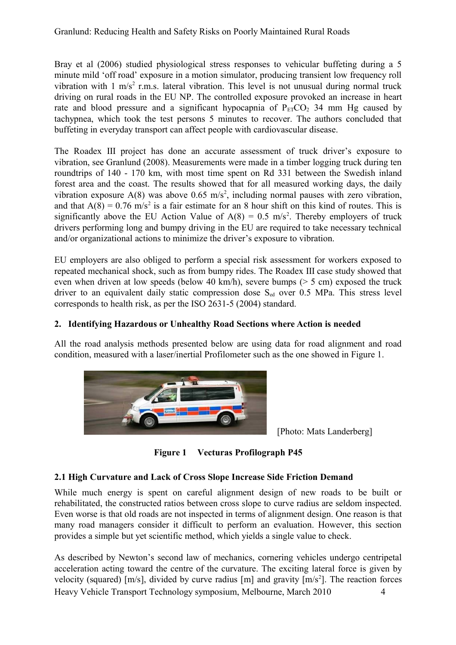Granlund: Reducing Health and Safety Risks on Poorly Maintained Rural Roads

Bray et al (2006) studied physiological stress responses to vehicular buffeting during a 5 minute mild 'off road' exposure in a motion simulator, producing transient low frequency roll vibration with  $1 \text{ m/s}^2$  r.m.s. lateral vibration. This level is not unusual during normal truck driving on rural roads in the EU NP. The controlled exposure provoked an increase in heart rate and blood pressure and a significant hypocapnia of  $P_{ET}CO_2$  34 mm Hg caused by tachypnea, which took the test persons 5 minutes to recover. The authors concluded that buffeting in everyday transport can affect people with cardiovascular disease.

The Roadex III project has done an accurate assessment of truck driver's exposure to vibration, see Granlund (2008). Measurements were made in a timber logging truck during ten roundtrips of 140 - 170 km, with most time spent on Rd 331 between the Swedish inland forest area and the coast. The results showed that for all measured working days, the daily vibration exposure  $A(8)$  was above 0.65 m/s<sup>2</sup>, including normal pauses with zero vibration, and that  $A(8) = 0.76$  m/s<sup>2</sup> is a fair estimate for an 8 hour shift on this kind of routes. This is significantly above the EU Action Value of  $A(8) = 0.5$  m/s<sup>2</sup>. Thereby employers of truck drivers performing long and bumpy driving in the EU are required to take necessary technical and/or organizational actions to minimize the driver's exposure to vibration.

EU employers are also obliged to perform a special risk assessment for workers exposed to repeated mechanical shock, such as from bumpy rides. The Roadex III case study showed that even when driven at low speeds (below 40 km/h), severe bumps (> 5 cm) exposed the truck driver to an equivalent daily static compression dose  $S_{ed}$  over 0.5 MPa. This stress level corresponds to health risk, as per the ISO 2631-5 (2004) standard.

## **2. Identifying Hazardous or Unhealthy Road Sections where Action is needed**

All the road analysis methods presented below are using data for road alignment and road condition, measured with a laser/inertial Profilometer such as the one showed in [Figure 1.](#page-3-0)



[Photo: Mats Landerberg]

<span id="page-3-0"></span>**Figure 1 Vecturas Profilograph P45**

## **2.1 High Curvature and Lack of Cross Slope Increase Side Friction Demand**

While much energy is spent on careful alignment design of new roads to be built or rehabilitated, the constructed ratios between cross slope to curve radius are seldom inspected. Even worse is that old roads are not inspected in terms of alignment design. One reason is that many road managers consider it difficult to perform an evaluation. However, this section provides a simple but yet scientific method, which yields a single value to check.

As described by Newton's second law of mechanics, cornering vehicles undergo centripetal acceleration acting toward the centre of the curvature. The exciting lateral force is given by velocity (squared) [m/s], divided by curve radius [m] and gravity  $[m/s^2]$ . The reaction forces Heavy Vehicle Transport Technology symposium, Melbourne, March 2010 4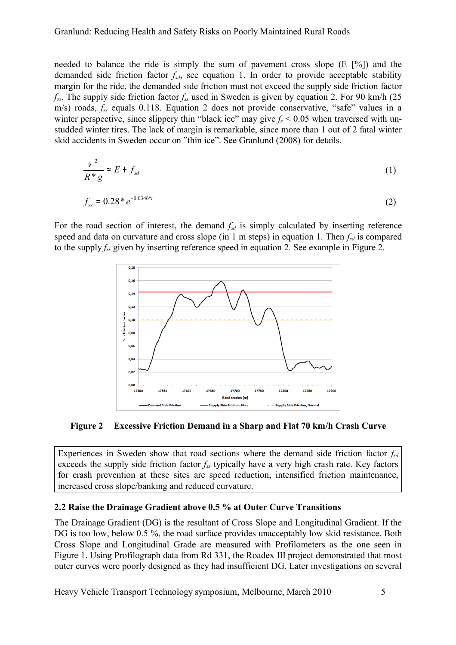#### Granlund: Reducing Health and Safety Risks on Poorly Maintained Rural Roads

needed to balance the ride is simply the sum of pavement cross slope (E [%]) and the demanded side friction factor *fsd*, see equation 1. In order to provide acceptable stability margin for the ride, the demanded side friction must not exceed the supply side friction factor *fss*. The supply side friction factor *fss* used in Sweden is given by equation 2. For 90 km/h (25 m/s) roads, *fss* equals 0.118. Equation 2 does not provide conservative, "safe" values in a winter perspective, since slippery thin "black ice" may give  $f_s < 0.05$  when traversed with unstudded winter tires. The lack of margin is remarkable, since more than 1 out of 2 fatal winter skid accidents in Sweden occur on "thin ice". See Granlund (2008) for details.

$$
\frac{v^2}{R^*g} \approx E + f_{sd} \tag{1}
$$

$$
f_{ss} = 0.28 * e^{-0.0346 * \sqrt{1.5}} \tag{2}
$$

For the road section of interest, the demand  $f_{sd}$  is simply calculated by inserting reference speed and data on curvature and cross slope (in 1 m steps) in equation 1. Then  $f_{sd}$  is compared to the supply *fss* given by inserting reference speed in equation 2. See example in [Figure 2.](#page-4-0)



<span id="page-4-0"></span>**Figure 2 Excessive Friction Demand in a Sharp and Flat 70 km/h Crash Curve**

Experiences in Sweden show that road sections where the demand side friction factor *fsd* exceeds the supply side friction factor *fss* typically have a very high crash rate. Key factors for crash prevention at these sites are speed reduction, intensified friction maintenance, increased cross slope/banking and reduced curvature.

#### **2.2 Raise the Drainage Gradient above 0.5 % at Outer Curve Transitions**

The Drainage Gradient (DG) is the resultant of Cross Slope and Longitudinal Gradient. If the DG is too low, below 0.5 %, the road surface provides unacceptably low skid resistance. Both Cross Slope and Longitudinal Grade are measured with Profilometers as the one seen in [Figure 1.](#page-3-0) Using Profilograph data from Rd 331, the Roadex III project demonstrated that most outer curves were poorly designed as they had insufficient DG. Later investigations on several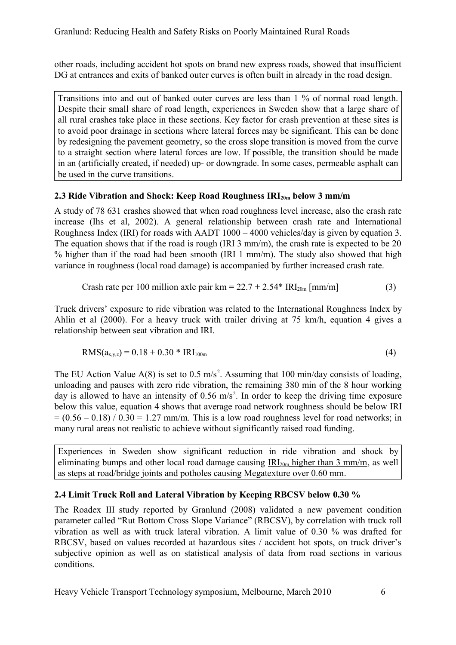other roads, including accident hot spots on brand new express roads, showed that insufficient DG at entrances and exits of banked outer curves is often built in already in the road design.

Transitions into and out of banked outer curves are less than 1 % of normal road length. Despite their small share of road length, experiences in Sweden show that a large share of all rural crashes take place in these sections. Key factor for crash prevention at these sites is to avoid poor drainage in sections where lateral forces may be significant. This can be done by redesigning the pavement geometry, so the cross slope transition is moved from the curve to a straight section where lateral forces are low. If possible, the transition should be made in an (artificially created, if needed) up- or downgrade. In some cases, permeable asphalt can be used in the curve transitions.

## **2.3 Ride Vibration and Shock: Keep Road Roughness IRI20m below 3 mm/m**

A study of 78 631 crashes showed that when road roughness level increase, also the crash rate increase (Ihs et al, 2002). A general relationship between crash rate and International Roughness Index (IRI) for roads with AADT 1000 – 4000 vehicles/day is given by equation 3. The equation shows that if the road is rough (IRI 3 mm/m), the crash rate is expected to be 20 % higher than if the road had been smooth (IRI 1 mm/m). The study also showed that high variance in roughness (local road damage) is accompanied by further increased crash rate.

Crash rate per 100 million axle pair km = 
$$
22.7 + 2.54
$$
\*  $IRI_{20m}$  [mm/m] (3)

Truck drivers' exposure to ride vibration was related to the International Roughness Index by Ahlin et al (2000). For a heavy truck with trailer driving at 75 km/h, equation 4 gives a relationship between seat vibration and IRI.

$$
RMS(a_{x,y,z}) = 0.18 + 0.30 * IRI100m
$$
 (4)

The EU Action Value  $A(8)$  is set to 0.5 m/s<sup>2</sup>. Assuming that 100 min/day consists of loading, unloading and pauses with zero ride vibration, the remaining 380 min of the 8 hour working day is allowed to have an intensity of  $0.56 \text{ m/s}^2$ . In order to keep the driving time exposure below this value, equation 4 shows that average road network roughness should be below IRI  $= (0.56 - 0.18) / 0.30 = 1.27$  mm/m. This is a low road roughness level for road networks; in many rural areas not realistic to achieve without significantly raised road funding.

Experiences in Sweden show significant reduction in ride vibration and shock by eliminating bumps and other local road damage causing  $IR_{20m}$  higher than 3 mm/m, as well as steps at road/bridge joints and potholes causing Megatexture over 0.60 mm.

# **2.4 Limit Truck Roll and Lateral Vibration by Keeping RBCSV below 0.30 %**

The Roadex III study reported by Granlund (2008) validated a new pavement condition parameter called "Rut Bottom Cross Slope Variance" (RBCSV), by correlation with truck roll vibration as well as with truck lateral vibration. A limit value of 0.30 % was drafted for RBCSV, based on values recorded at hazardous sites / accident hot spots, on truck driver's subjective opinion as well as on statistical analysis of data from road sections in various conditions.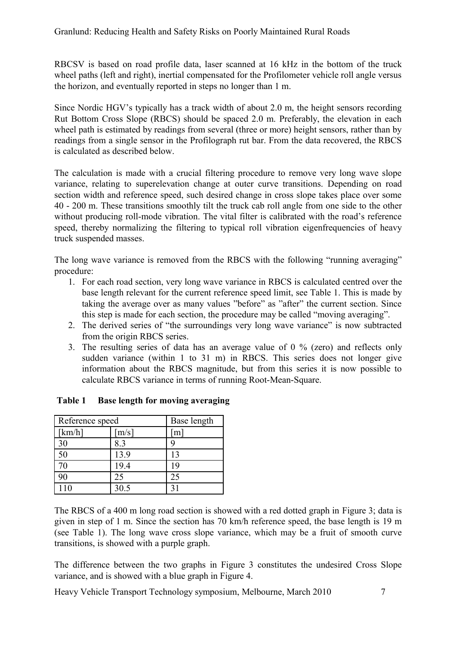RBCSV is based on road profile data, laser scanned at 16 kHz in the bottom of the truck wheel paths (left and right), inertial compensated for the Profilometer vehicle roll angle versus the horizon, and eventually reported in steps no longer than 1 m.

Since Nordic HGV's typically has a track width of about 2.0 m, the height sensors recording Rut Bottom Cross Slope (RBCS) should be spaced 2.0 m. Preferably, the elevation in each wheel path is estimated by readings from several (three or more) height sensors, rather than by readings from a single sensor in the Profilograph rut bar. From the data recovered, the RBCS is calculated as described below.

The calculation is made with a crucial filtering procedure to remove very long wave slope variance, relating to superelevation change at outer curve transitions. Depending on road section width and reference speed, such desired change in cross slope takes place over some 40 - 200 m. These transitions smoothly tilt the truck cab roll angle from one side to the other without producing roll-mode vibration. The vital filter is calibrated with the road's reference speed, thereby normalizing the filtering to typical roll vibration eigenfrequencies of heavy truck suspended masses.

The long wave variance is removed from the RBCS with the following "running averaging" procedure:

- 1. For each road section, very long wave variance in RBCS is calculated centred over the base length relevant for the current reference speed limit, see Table 1. This is made by taking the average over as many values "before" as "after" the current section. Since this step is made for each section, the procedure may be called "moving averaging".
- 2. The derived series of "the surroundings very long wave variance" is now subtracted from the origin RBCS series.
- 3. The resulting series of data has an average value of 0 % (zero) and reflects only sudden variance (within 1 to 31 m) in RBCS. This series does not longer give information about the RBCS magnitude, but from this series it is now possible to calculate RBCS variance in terms of running Root-Mean-Square.

| Reference speed |                     | Base length |
|-----------------|---------------------|-------------|
| [km/h]          | $\lceil m/s \rceil$ | m           |
| 30              | 8.3                 |             |
| 50              | 13.9                | 13          |
| 70              | 19.4                | 19          |
| 90              | 25                  | 25          |
| 110             | 30.5                | 31          |

<span id="page-6-0"></span>**Table 1 Base length for moving averaging**

The RBCS of a 400 m long road section is showed with a red dotted graph in [Figure 3;](#page-7-1) data is given in step of 1 m. Since the section has 70 km/h reference speed, the base length is 19 m (see [Table 1\)](#page-6-0). The long wave cross slope variance, which may be a fruit of smooth curve transitions, is showed with a purple graph.

The difference between the two graphs in [Figure 3](#page-7-1) constitutes the undesired Cross Slope variance, and is showed with a blue graph in [Figure 4.](#page-7-0)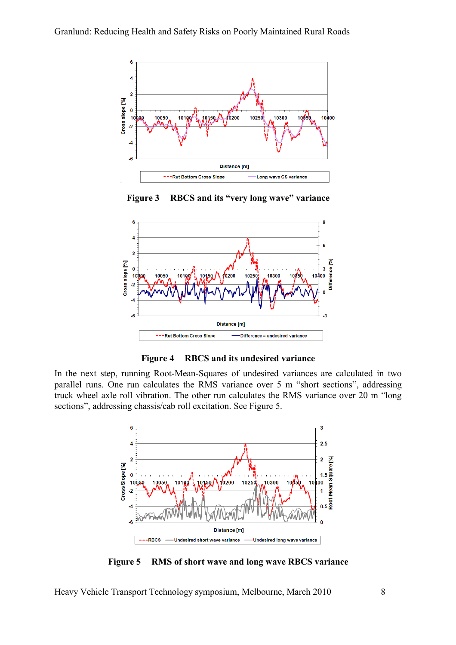

<span id="page-7-1"></span>**Figure 3 RBCS and its "very long wave" variance**



<span id="page-7-0"></span>**Figure 4 RBCS and its undesired variance**

In the next step, running Root-Mean-Squares of undesired variances are calculated in two parallel runs. One run calculates the RMS variance over 5 m "short sections", addressing truck wheel axle roll vibration. The other run calculates the RMS variance over 20 m "long sections", addressing chassis/cab roll excitation. See [Figure 5.](#page-7-2)



<span id="page-7-2"></span>**Figure 5 RMS of short wave and long wave RBCS variance**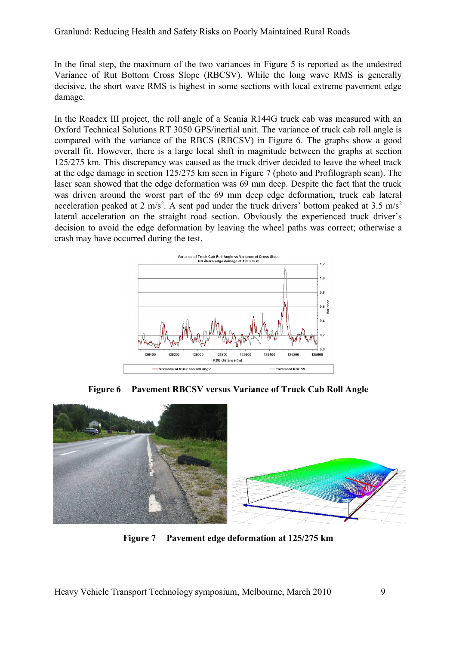In the final step, the maximum of the two variances in [Figure 5](#page-7-2) is reported as the undesired Variance of Rut Bottom Cross Slope (RBCSV). While the long wave RMS is generally decisive, the short wave RMS is highest in some sections with local extreme pavement edge damage.

In the Roadex III project, the roll angle of a Scania R144G truck cab was measured with an Oxford Technical Solutions RT 3050 GPS/inertial unit. The variance of truck cab roll angle is compared with the variance of the RBCS (RBCSV) in [Figure 6.](#page-8-1) The graphs show a good overall fit. However, there is a large local shift in magnitude between the graphs at section 125/275 km. This discrepancy was caused as the truck driver decided to leave the wheel track at the edge damage in section 125/275 km seen in [Figure 7](#page-8-0) (photo and Profilograph scan). The laser scan showed that the edge deformation was 69 mm deep. Despite the fact that the truck was driven around the worst part of the 69 mm deep edge deformation, truck cab lateral acceleration peaked at 2 m/s<sup>2</sup>. A seat pad under the truck drivers' bottom peaked at 3.5 m/s<sup>2</sup> lateral acceleration on the straight road section. Obviously the experienced truck driver's decision to avoid the edge deformation by leaving the wheel paths was correct; otherwise a crash may have occurred during the test.



<span id="page-8-1"></span><span id="page-8-0"></span>**Figure 6 Pavement RBCSV versus Variance of Truck Cab Roll Angle**



**Figure 7 Pavement edge deformation at 125/275 km**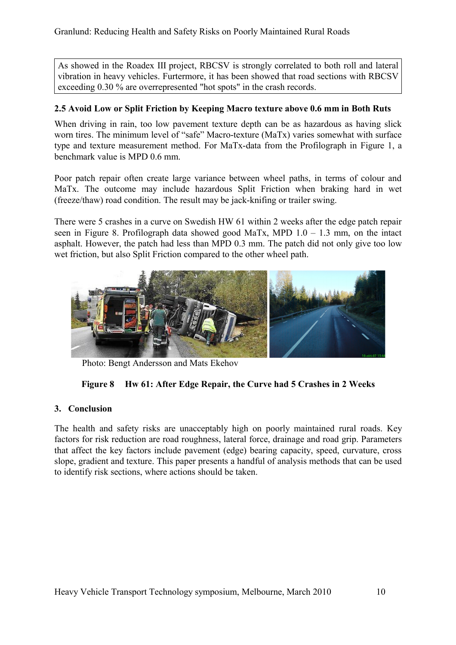As showed in the Roadex III project, RBCSV is strongly correlated to both roll and lateral vibration in heavy vehicles. Furtermore, it has been showed that road sections with RBCSV exceeding 0.30 % are overrepresented "hot spots" in the crash records.

## **2.5 Avoid Low or Split Friction by Keeping Macro texture above 0.6 mm in Both Ruts**

When driving in rain, too low pavement texture depth can be as hazardous as having slick worn tires. The minimum level of "safe" Macro-texture (MaTx) varies somewhat with surface type and texture measurement method. For MaTx-data from the Profilograph in [Figure 1,](#page-3-0) a benchmark value is MPD 0.6 mm.

Poor patch repair often create large variance between wheel paths, in terms of colour and MaTx. The outcome may include hazardous Split Friction when braking hard in wet (freeze/thaw) road condition. The result may be jack-knifing or trailer swing.

There were 5 crashes in a curve on Swedish HW 61 within 2 weeks after the edge patch repair seen in [Figure 8.](#page-9-0) Profilograph data showed good MaTx, MPD  $1.0 - 1.3$  mm, on the intact asphalt. However, the patch had less than MPD 0.3 mm. The patch did not only give too low wet friction, but also Split Friction compared to the other wheel path.



Photo: Bengt Andersson and Mats Ekehov

## <span id="page-9-0"></span>**Figure 8 Hw 61: After Edge Repair, the Curve had 5 Crashes in 2 Weeks**

## **3. Conclusion**

The health and safety risks are unacceptably high on poorly maintained rural roads. Key factors for risk reduction are road roughness, lateral force, drainage and road grip. Parameters that affect the key factors include pavement (edge) bearing capacity, speed, curvature, cross slope, gradient and texture. This paper presents a handful of analysis methods that can be used to identify risk sections, where actions should be taken.